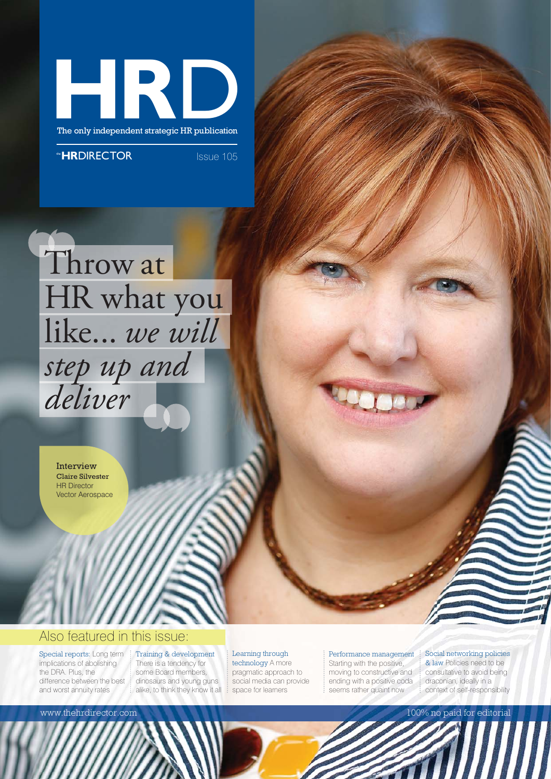

The only independent strategic HR publication

**HRDIRECTOR** ISSue 105



Interview Claire Silvester HR Director Vector Aerospace

## Also featured in this issue:

Special reports: Long term implications of abolishing the DRA. Plus, the difference between the best and worst annuity rates

Training & development There is a tendency for some Board members, dinosaurs and young guns alike, to think they know it all

## Learning through technology A more

pragmatic approach to social media can provide space for learners

## Performance management

Starting with the positive, moving to constructive and ending with a positive coda seems rather quaint now

Social networking policies & law Policies need to be consultative to avoid being

www.thehrdirector.com and the state of the state of the state of the state of the state of the state of the state of the state of the state of the state of the state of the state of the state of the state of the state of t

draconian, ideally in a context of self-responsibility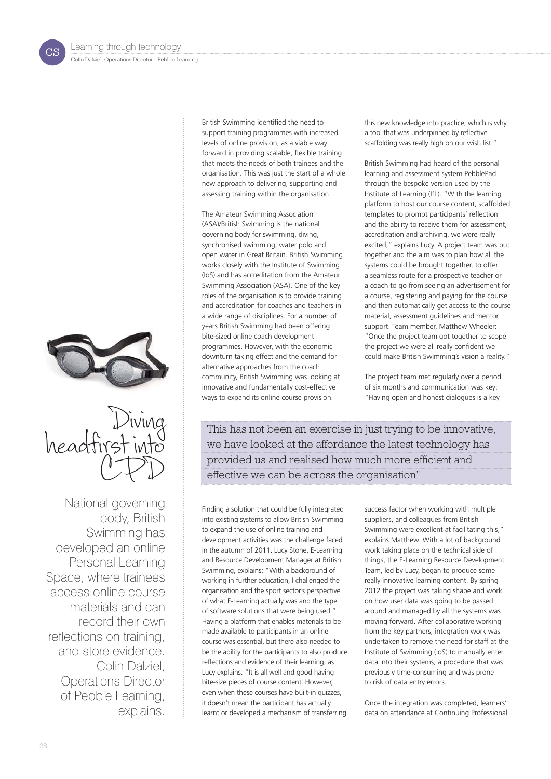cs





National governing body, British Swimming has developed an online Personal Learning Space, where trainees access online course materials and can record their own reflections on training, and store evidence. Colin Dalziel, Operations Director of Pebble Learning, explains.

British Swimming identified the need to support training programmes with increased levels of online provision, as a viable way forward in providing scalable, flexible training that meets the needs of both trainees and the organisation. This was just the start of a whole new approach to delivering, supporting and assessing training within the organisation.

The Amateur Swimming Association (ASA)/British Swimming is the national governing body for swimming, diving, synchronised swimming, water polo and open water in Great Britain. British Swimming works closely with the Institute of Swimming (IoS) and has accreditation from the Amateur Swimming Association (ASA). One of the key roles of the organisation is to provide training and accreditation for coaches and teachers in a wide range of disciplines. For a number of years British Swimming had been offering bite-sized online coach development programmes. However, with the economic downturn taking effect and the demand for alternative approaches from the coach community, British Swimming was looking at innovative and fundamentally cost-effective ways to expand its online course provision.

this new knowledge into practice, which is why a tool that was underpinned by reflective scaffolding was really high on our wish list."

British Swimming had heard of the personal learning and assessment system PebblePad through the bespoke version used by the Institute of Learning (IfL). "With the learning platform to host our course content, scaffolded templates to prompt participants' reflection and the ability to receive them for assessment, accreditation and archiving, we were really excited," explains Lucy. A project team was put together and the aim was to plan how all the systems could be brought together, to offer a seamless route for a prospective teacher or a coach to go from seeing an advertisement for a course, registering and paying for the course and then automatically get access to the course material, assessment guidelines and mentor support. Team member, Matthew Wheeler: "Once the project team got together to scope the project we were all really confident we could make British Swimming's vision a reality."

The project team met regularly over a period of six months and communication was key: "Having open and honest dialogues is a key

This has not been an exercise in just trying to be innovative, we have looked at the affordance the latest technology has provided us and realised how much more efficient and effective we can be across the organisation"

Finding a solution that could be fully integrated into existing systems to allow British Swimming to expand the use of online training and development activities was the challenge faced in the autumn of 2011. Lucy Stone, E-Learning and Resource Development Manager at British Swimming, explains: "With a background of working in further education, I challenged the organisation and the sport sector's perspective of what E-Learning actually was and the type of software solutions that were being used." Having a platform that enables materials to be made available to participants in an online course was essential, but there also needed to be the ability for the participants to also produce reflections and evidence of their learning, as Lucy explains: "It is all well and good having bite-size pieces of course content. However, even when these courses have built-in quizzes, it doesn't mean the participant has actually learnt or developed a mechanism of transferring

success factor when working with multiple suppliers, and colleagues from British Swimming were excellent at facilitating this," explains Matthew. With a lot of background work taking place on the technical side of things, the E-Learning Resource Development Team, led by Lucy, began to produce some really innovative learning content. By spring 2012 the project was taking shape and work on how user data was going to be passed around and managed by all the systems was moving forward. After collaborative working from the key partners, integration work was undertaken to remove the need for staff at the Institute of Swimming (IoS) to manually enter data into their systems, a procedure that was previously time-consuming and was prone to risk of data entry errors.

Once the integration was completed, learners' data on attendance at Continuing Professional